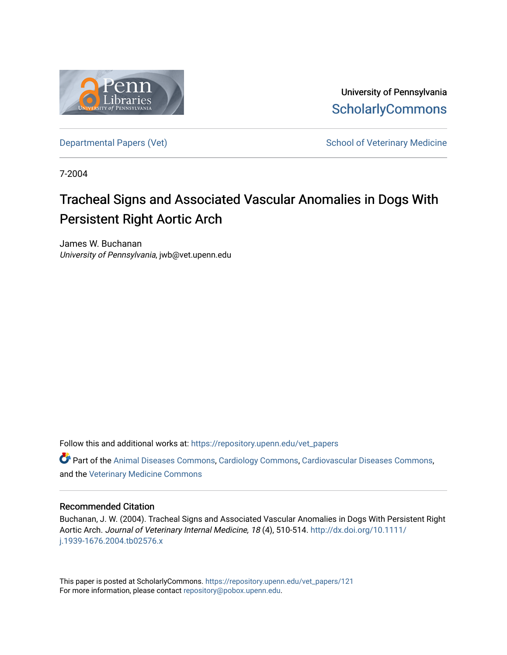

University of Pennsylvania **ScholarlyCommons** 

[Departmental Papers \(Vet\)](https://repository.upenn.edu/vet_papers) and School of Veterinary Medicine

7-2004

# Tracheal Signs and Associated Vascular Anomalies in Dogs With Persistent Right Aortic Arch

James W. Buchanan University of Pennsylvania, jwb@vet.upenn.edu

Follow this and additional works at: [https://repository.upenn.edu/vet\\_papers](https://repository.upenn.edu/vet_papers?utm_source=repository.upenn.edu%2Fvet_papers%2F121&utm_medium=PDF&utm_campaign=PDFCoverPages) 

Part of the [Animal Diseases Commons,](http://network.bepress.com/hgg/discipline/918?utm_source=repository.upenn.edu%2Fvet_papers%2F121&utm_medium=PDF&utm_campaign=PDFCoverPages) [Cardiology Commons](http://network.bepress.com/hgg/discipline/683?utm_source=repository.upenn.edu%2Fvet_papers%2F121&utm_medium=PDF&utm_campaign=PDFCoverPages), [Cardiovascular Diseases Commons,](http://network.bepress.com/hgg/discipline/929?utm_source=repository.upenn.edu%2Fvet_papers%2F121&utm_medium=PDF&utm_campaign=PDFCoverPages) and the [Veterinary Medicine Commons](http://network.bepress.com/hgg/discipline/760?utm_source=repository.upenn.edu%2Fvet_papers%2F121&utm_medium=PDF&utm_campaign=PDFCoverPages)

# Recommended Citation

Buchanan, J. W. (2004). Tracheal Signs and Associated Vascular Anomalies in Dogs With Persistent Right Aortic Arch. Journal of Veterinary Internal Medicine, 18 (4), 510-514. [http://dx.doi.org/10.1111/](http://dx.doi.org/10.1111/j.1939-1676.2004.tb02576.x) [j.1939-1676.2004.tb02576.x](http://dx.doi.org/10.1111/j.1939-1676.2004.tb02576.x) 

This paper is posted at ScholarlyCommons. [https://repository.upenn.edu/vet\\_papers/121](https://repository.upenn.edu/vet_papers/121) For more information, please contact [repository@pobox.upenn.edu.](mailto:repository@pobox.upenn.edu)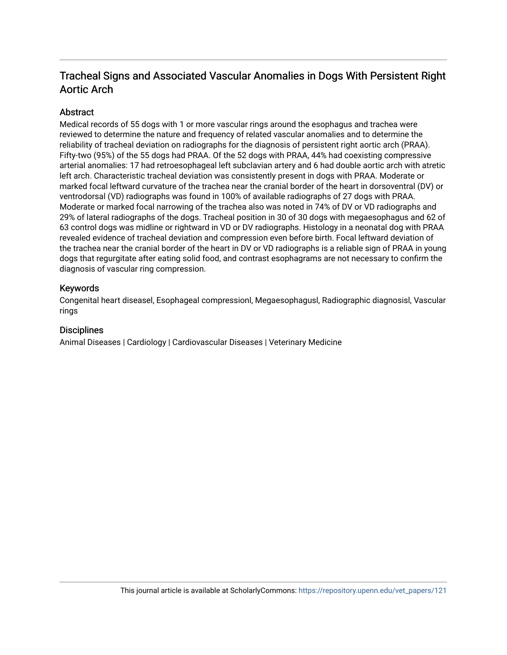# Tracheal Signs and Associated Vascular Anomalies in Dogs With Persistent Right Aortic Arch

# **Abstract**

Medical records of 55 dogs with 1 or more vascular rings around the esophagus and trachea were reviewed to determine the nature and frequency of related vascular anomalies and to determine the reliability of tracheal deviation on radiographs for the diagnosis of persistent right aortic arch (PRAA). Fifty-two (95%) of the 55 dogs had PRAA. Of the 52 dogs with PRAA, 44% had coexisting compressive arterial anomalies: 17 had retroesophageal left subclavian artery and 6 had double aortic arch with atretic left arch. Characteristic tracheal deviation was consistently present in dogs with PRAA. Moderate or marked focal leftward curvature of the trachea near the cranial border of the heart in dorsoventral (DV) or ventrodorsal (VD) radiographs was found in 100% of available radiographs of 27 dogs with PRAA. Moderate or marked focal narrowing of the trachea also was noted in 74% of DV or VD radiographs and 29% of lateral radiographs of the dogs. Tracheal position in 30 of 30 dogs with megaesophagus and 62 of 63 control dogs was midline or rightward in VD or DV radiographs. Histology in a neonatal dog with PRAA revealed evidence of tracheal deviation and compression even before birth. Focal leftward deviation of the trachea near the cranial border of the heart in DV or VD radiographs is a reliable sign of PRAA in young dogs that regurgitate after eating solid food, and contrast esophagrams are not necessary to confirm the diagnosis of vascular ring compression.

# Keywords

Congenital heart diseasel, Esophageal compressionl, Megaesophagusl, Radiographic diagnosisl, Vascular rings

# **Disciplines**

Animal Diseases | Cardiology | Cardiovascular Diseases | Veterinary Medicine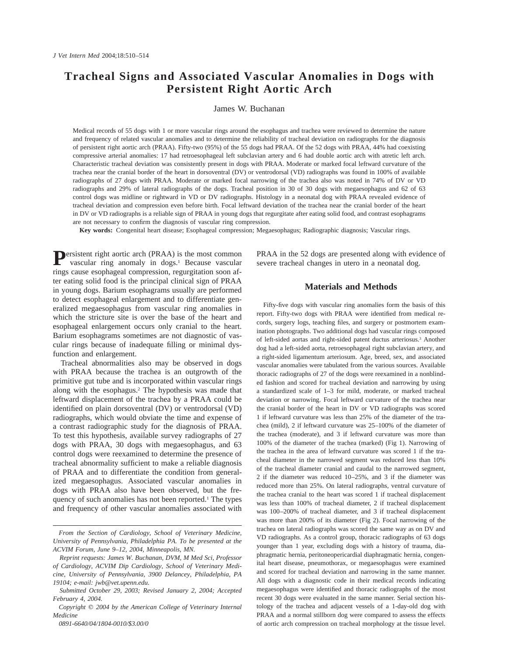# **Tracheal Signs and Associated Vascular Anomalies in Dogs with Persistent Right Aortic Arch**

James W. Buchanan

Medical records of 55 dogs with 1 or more vascular rings around the esophagus and trachea were reviewed to determine the nature and frequency of related vascular anomalies and to determine the reliability of tracheal deviation on radiographs for the diagnosis of persistent right aortic arch (PRAA). Fifty-two (95%) of the 55 dogs had PRAA. Of the 52 dogs with PRAA, 44% had coexisting compressive arterial anomalies: 17 had retroesophageal left subclavian artery and 6 had double aortic arch with atretic left arch. Characteristic tracheal deviation was consistently present in dogs with PRAA. Moderate or marked focal leftward curvature of the trachea near the cranial border of the heart in dorsoventral (DV) or ventrodorsal (VD) radiographs was found in 100% of available radiographs of 27 dogs with PRAA. Moderate or marked focal narrowing of the trachea also was noted in 74% of DV or VD radiographs and 29% of lateral radiographs of the dogs. Tracheal position in 30 of 30 dogs with megaesophagus and 62 of 63 control dogs was midline or rightward in VD or DV radiographs. Histology in a neonatal dog with PRAA revealed evidence of tracheal deviation and compression even before birth. Focal leftward deviation of the trachea near the cranial border of the heart in DV or VD radiographs is a reliable sign of PRAA in young dogs that regurgitate after eating solid food, and contrast esophagrams are not necessary to confirm the diagnosis of vascular ring compression.

**Key words:** Congenital heart disease; Esophageal compression; Megaesophagus; Radiographic diagnosis; Vascular rings.

**P**ersistent right aortic arch (PRAA) is the most common vascular ring anomaly in dogs.<sup>1</sup> Because vascular rings cause esophageal compression, regurgitation soon after eating solid food is the principal clinical sign of PRAA in young dogs. Barium esophagrams usually are performed to detect esophageal enlargement and to differentiate generalized megaesophagus from vascular ring anomalies in which the stricture site is over the base of the heart and esophageal enlargement occurs only cranial to the heart. Barium esophagrams sometimes are not diagnostic of vascular rings because of inadequate filling or minimal dysfunction and enlargement.

Tracheal abnormalities also may be observed in dogs with PRAA because the trachea is an outgrowth of the primitive gut tube and is incorporated within vascular rings along with the esophagus.2 The hypothesis was made that leftward displacement of the trachea by a PRAA could be identified on plain dorsoventral (DV) or ventrodorsal (VD) radiographs, which would obviate the time and expense of a contrast radiographic study for the diagnosis of PRAA. To test this hypothesis, available survey radiographs of 27 dogs with PRAA, 30 dogs with megaesophagus, and 63 control dogs were reexamined to determine the presence of tracheal abnormality sufficient to make a reliable diagnosis of PRAA and to differentiate the condition from generalized megaesophagus. Associated vascular anomalies in dogs with PRAA also have been observed, but the frequency of such anomalies has not been reported.<sup>1</sup> The types and frequency of other vascular anomalies associated with

*0891-6640/04/1804-0010/\$3.00/0*

PRAA in the 52 dogs are presented along with evidence of severe tracheal changes in utero in a neonatal dog.

## **Materials and Methods**

Fifty-five dogs with vascular ring anomalies form the basis of this report. Fifty-two dogs with PRAA were identified from medical records, surgery logs, teaching files, and surgery or postmortem examination photographs. Two additional dogs had vascular rings composed of left-sided aortas and right-sided patent ductus arteriosus.3 Another dog had a left-sided aorta, retroesophageal right subclavian artery, and a right-sided ligamentum arteriosum. Age, breed, sex, and associated vascular anomalies were tabulated from the various sources. Available thoracic radiographs of 27 of the dogs were reexamined in a nonblinded fashion and scored for tracheal deviation and narrowing by using a standardized scale of 1–3 for mild, moderate, or marked tracheal deviation or narrowing. Focal leftward curvature of the trachea near the cranial border of the heart in DV or VD radiographs was scored 1 if leftward curvature was less than 25% of the diameter of the trachea (mild), 2 if leftward curvature was 25–100% of the diameter of the trachea (moderate), and 3 if leftward curvature was more than 100% of the diameter of the trachea (marked) (Fig 1). Narrowing of the trachea in the area of leftward curvature was scored 1 if the tracheal diameter in the narrowed segment was reduced less than 10% of the tracheal diameter cranial and caudal to the narrowed segment, 2 if the diameter was reduced 10–25%, and 3 if the diameter was reduced more than 25%. On lateral radiographs, ventral curvature of the trachea cranial to the heart was scored 1 if tracheal displacement was less than 100% of tracheal diameter, 2 if tracheal displacement was 100–200% of tracheal diameter, and 3 if tracheal displacement was more than 200% of its diameter (Fig 2). Focal narrowing of the trachea on lateral radiographs was scored the same way as on DV and VD radiographs. As a control group, thoracic radiographs of 63 dogs younger than 1 year, excluding dogs with a history of trauma, diaphragmatic hernia, peritoneopericardial diaphragmatic hernia, congenital heart disease, pneumothorax, or megaesophagus were examined and scored for tracheal deviation and narrowing in the same manner. All dogs with a diagnostic code in their medical records indicating megaesophagus were identified and thoracic radiographs of the most recent 30 dogs were evaluated in the same manner. Serial section histology of the trachea and adjacent vessels of a 1-day-old dog with PRAA and a normal stillborn dog were compared to assess the effects of aortic arch compression on tracheal morphology at the tissue level.

*From the Section of Cardiology, School of Veterinary Medicine, University of Pennsylvania, Philadelphia PA. To be presented at the ACVIM Forum, June 9–12, 2004, Minneapolis, MN.*

*Reprint requests: James W. Buchanan, DVM, M Med Sci, Professor of Cardiology, ACVIM Dip Cardiology, School of Veterinary Medicine, University of Pennsylvania, 3900 Delancey, Philadelphia, PA 19104; e-mail: jwb@vet.upenn.edu.*

*Submitted October 29, 2003; Revised January 2, 2004; Accepted February 4, 2004.*

*Copyright* q *2004 by the American College of Veterinary Internal Medicine*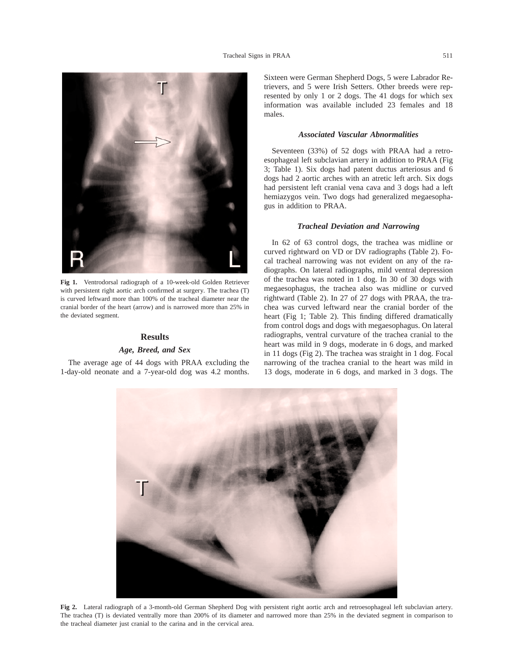

**Fig 1.** Ventrodorsal radiograph of a 10-week-old Golden Retriever with persistent right aortic arch confirmed at surgery. The trachea (T) is curved leftward more than 100% of the tracheal diameter near the cranial border of the heart (arrow) and is narrowed more than 25% in the deviated segment.

## **Results**

## *Age, Breed, and Sex*

The average age of 44 dogs with PRAA excluding the 1-day-old neonate and a 7-year-old dog was 4.2 months. Sixteen were German Shepherd Dogs, 5 were Labrador Retrievers, and 5 were Irish Setters. Other breeds were represented by only 1 or 2 dogs. The 41 dogs for which sex information was available included 23 females and 18 males.

#### *Associated Vascular Abnormalities*

Seventeen (33%) of 52 dogs with PRAA had a retroesophageal left subclavian artery in addition to PRAA (Fig 3; Table 1). Six dogs had patent ductus arteriosus and 6 dogs had 2 aortic arches with an atretic left arch. Six dogs had persistent left cranial vena cava and 3 dogs had a left hemiazygos vein. Two dogs had generalized megaesophagus in addition to PRAA.

#### *Tracheal Deviation and Narrowing*

In 62 of 63 control dogs, the trachea was midline or curved rightward on VD or DV radiographs (Table 2). Focal tracheal narrowing was not evident on any of the radiographs. On lateral radiographs, mild ventral depression of the trachea was noted in 1 dog. In 30 of 30 dogs with megaesophagus, the trachea also was midline or curved rightward (Table 2). In 27 of 27 dogs with PRAA, the trachea was curved leftward near the cranial border of the heart (Fig 1; Table 2). This finding differed dramatically from control dogs and dogs with megaesophagus. On lateral radiographs, ventral curvature of the trachea cranial to the heart was mild in 9 dogs, moderate in 6 dogs, and marked in 11 dogs (Fig 2). The trachea was straight in 1 dog. Focal narrowing of the trachea cranial to the heart was mild in 13 dogs, moderate in 6 dogs, and marked in 3 dogs. The



**Fig 2.** Lateral radiograph of a 3-month-old German Shepherd Dog with persistent right aortic arch and retroesophageal left subclavian artery. The trachea (T) is deviated ventrally more than 200% of its diameter and narrowed more than 25% in the deviated segment in comparison to the tracheal diameter just cranial to the carina and in the cervical area.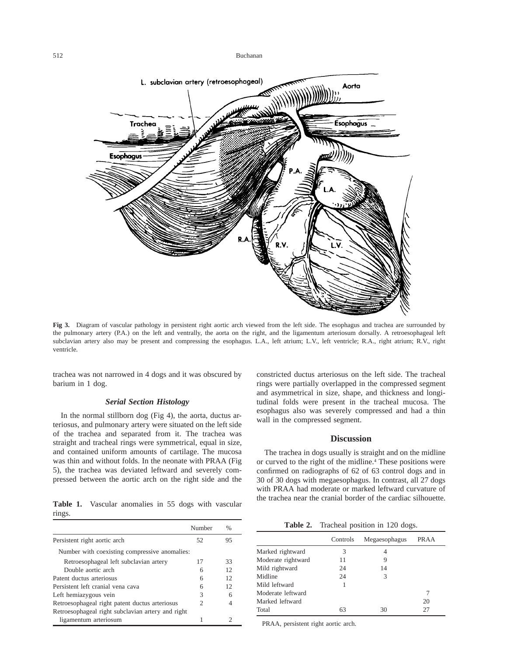512 Buchanan



**Fig 3.** Diagram of vascular pathology in persistent right aortic arch viewed from the left side. The esophagus and trachea are surrounded by the pulmonary artery (P.A.) on the left and ventrally, the aorta on the right, and the ligamentum arteriosum dorsally. A retroesophageal left subclavian artery also may be present and compressing the esophagus. L.A., left atrium; L.V., left ventricle; R.A., right atrium; R.V., right ventricle.

trachea was not narrowed in 4 dogs and it was obscured by barium in 1 dog.

#### *Serial Section Histology*

In the normal stillborn dog (Fig 4), the aorta, ductus arteriosus, and pulmonary artery were situated on the left side of the trachea and separated from it. The trachea was straight and tracheal rings were symmetrical, equal in size, and contained uniform amounts of cartilage. The mucosa was thin and without folds. In the neonate with PRAA (Fig 5), the trachea was deviated leftward and severely compressed between the aortic arch on the right side and the

constricted ductus arteriosus on the left side. The tracheal rings were partially overlapped in the compressed segment and asymmetrical in size, shape, and thickness and longitudinal folds were present in the tracheal mucosa. The esophagus also was severely compressed and had a thin wall in the compressed segment.

### **Discussion**

The trachea in dogs usually is straight and on the midline or curved to the right of the midline.4 These positions were confirmed on radiographs of 62 of 63 control dogs and in 30 of 30 dogs with megaesophagus. In contrast, all 27 dogs with PRAA had moderate or marked leftward curvature of the trachea near the cranial border of the cardiac silhouette.

Table 1. Vascular anomalies in 55 dogs with vascular rings.

|                                                   | Number | $\frac{0}{0}$ |
|---------------------------------------------------|--------|---------------|
| Persistent right aortic arch                      | 52     | 95            |
| Number with coexisting compressive anomalies:     |        |               |
| Retroesophageal left subclavian artery            | 17     | 33            |
| Double aortic arch                                | 6      | 12            |
| Patent ductus arteriosus                          | 6      | 12.           |
| Persistent left cranial vena cava                 | 6      | 12.           |
| Left hemiazygous vein                             | 3      |               |
| Retroesophageal right patent ductus arteriosus    |        |               |
| Retroesophageal right subclavian artery and right |        |               |
| ligamentum arteriosum                             |        |               |

**Table 2.** Tracheal position in 120 dogs.

|                    | Controls | Megaesophagus | PRAA |
|--------------------|----------|---------------|------|
| Marked rightward   | 3        | 4             |      |
| Moderate rightward | 11       | 9             |      |
| Mild rightward     | 24       | 14            |      |
| Midline            | 24       | 3             |      |
| Mild leftward      |          |               |      |
| Moderate leftward  |          |               |      |
| Marked leftward    |          |               | 20   |
| Total              | 63       | 30            | 27   |

PRAA, persistent right aortic arch.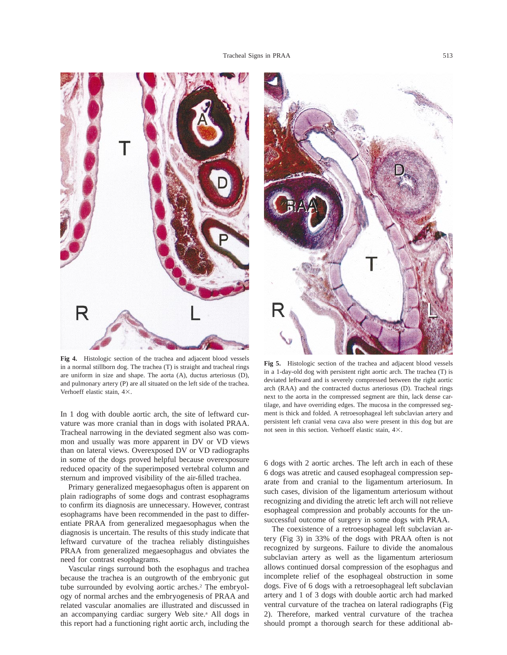

**Fig 4.** Histologic section of the trachea and adjacent blood vessels in a normal stillborn dog. The trachea (T) is straight and tracheal rings are uniform in size and shape. The aorta (A), ductus arteriosus (D), and pulmonary artery (P) are all situated on the left side of the trachea. Verhoeff elastic stain,  $4\times$ .

In 1 dog with double aortic arch, the site of leftward curvature was more cranial than in dogs with isolated PRAA. Tracheal narrowing in the deviated segment also was common and usually was more apparent in DV or VD views than on lateral views. Overexposed DV or VD radiographs in some of the dogs proved helpful because overexposure reduced opacity of the superimposed vertebral column and sternum and improved visibility of the air-filled trachea.

Primary generalized megaesophagus often is apparent on plain radiographs of some dogs and contrast esophagrams to confirm its diagnosis are unnecessary. However, contrast esophagrams have been recommended in the past to differentiate PRAA from generalized megaesophagus when the diagnosis is uncertain. The results of this study indicate that leftward curvature of the trachea reliably distinguishes PRAA from generalized megaesophagus and obviates the need for contrast esophagrams.

Vascular rings surround both the esophagus and trachea because the trachea is an outgrowth of the embryonic gut tube surrounded by evolving aortic arches.<sup>2</sup> The embryology of normal arches and the embryogenesis of PRAA and related vascular anomalies are illustrated and discussed in an accompanying cardiac surgery Web site.<sup>a</sup> All dogs in this report had a functioning right aortic arch, including the



**Fig 5.** Histologic section of the trachea and adjacent blood vessels in a 1-day-old dog with persistent right aortic arch. The trachea (T) is deviated leftward and is severely compressed between the right aortic arch (RAA) and the contracted ductus arteriosus (D). Tracheal rings next to the aorta in the compressed segment are thin, lack dense cartilage, and have overriding edges. The mucosa in the compressed segment is thick and folded. A retroesophageal left subclavian artery and persistent left cranial vena cava also were present in this dog but are not seen in this section. Verhoeff elastic stain,  $4\times$ .

6 dogs with 2 aortic arches. The left arch in each of these 6 dogs was atretic and caused esophageal compression separate from and cranial to the ligamentum arteriosum. In such cases, division of the ligamentum arteriosum without recognizing and dividing the atretic left arch will not relieve esophageal compression and probably accounts for the unsuccessful outcome of surgery in some dogs with PRAA.

The coexistence of a retroesophageal left subclavian artery (Fig 3) in 33% of the dogs with PRAA often is not recognized by surgeons. Failure to divide the anomalous subclavian artery as well as the ligamentum arteriosum allows continued dorsal compression of the esophagus and incomplete relief of the esophageal obstruction in some dogs. Five of 6 dogs with a retroesophageal left subclavian artery and 1 of 3 dogs with double aortic arch had marked ventral curvature of the trachea on lateral radiographs (Fig 2). Therefore, marked ventral curvature of the trachea should prompt a thorough search for these additional ab